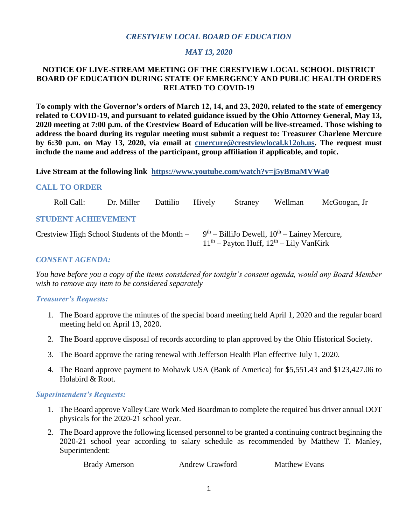## *CRESTVIEW LOCAL BOARD OF EDUCATION*

#### *MAY 13, 2020*

#### **NOTICE OF LIVE-STREAM MEETING OF THE CRESTVIEW LOCAL SCHOOL DISTRICT BOARD OF EDUCATION DURING STATE OF EMERGENCY AND PUBLIC HEALTH ORDERS RELATED TO COVID-19**

**To comply with the Governor's orders of March 12, 14, and 23, 2020, related to the state of emergency related to COVID-19, and pursuant to related guidance issued by the Ohio Attorney General, May 13, 2020 meeting at 7:00 p.m. of the Crestview Board of Education will be live-streamed. Those wishing to address the board during its regular meeting must submit a request to: Treasurer Charlene Mercure by 6:30 p.m. on May 13, 2020, via email at [cmercure@crestviewlocal.k12oh.us.](mailto:cmercure@crestviewlocal.k12oh.us) The request must include the name and address of the participant, group affiliation if applicable, and topic.**

**Live Stream at the following link <https://www.youtube.com/watch?v=j5yBmaMVWa0>** 

#### **CALL TO ORDER**

| Roll Call:                                    | Dr. Miller | <b>Dattilio</b> | Hively | Straney | Wellman                                                                                         | McGoogan, Jr |
|-----------------------------------------------|------------|-----------------|--------|---------|-------------------------------------------------------------------------------------------------|--------------|
| <b>STUDENT ACHIEVEMENT</b>                    |            |                 |        |         |                                                                                                 |              |
| Crestview High School Students of the Month – |            |                 |        |         | $9th$ – BilliJo Dewell, $10th$ – Lainey Mercure,<br>$11th$ – Payton Huff, $12th$ – Lily VanKirk |              |

#### *CONSENT AGENDA:*

*You have before you a copy of the items considered for tonight's consent agenda, would any Board Member wish to remove any item to be considered separately*

# *Treasurer's Requests:*

- 1. The Board approve the minutes of the special board meeting held April 1, 2020 and the regular board meeting held on April 13, 2020.
- 2. The Board approve disposal of records according to plan approved by the Ohio Historical Society.
- 3. The Board approve the rating renewal with Jefferson Health Plan effective July 1, 2020.
- 4. The Board approve payment to Mohawk USA (Bank of America) for \$5,551.43 and \$123,427.06 to Holabird & Root.

#### *Superintendent's Requests:*

- 1. The Board approve Valley Care Work Med Boardman to complete the required bus driver annual DOT physicals for the 2020-21 school year.
- 2. The Board approve the following licensed personnel to be granted a continuing contract beginning the 2020-21 school year according to salary schedule as recommended by Matthew T. Manley, Superintendent:

| <b>Brady Amerson</b> | <b>Andrew Crawford</b> | <b>Matthew Evans</b> |
|----------------------|------------------------|----------------------|
|----------------------|------------------------|----------------------|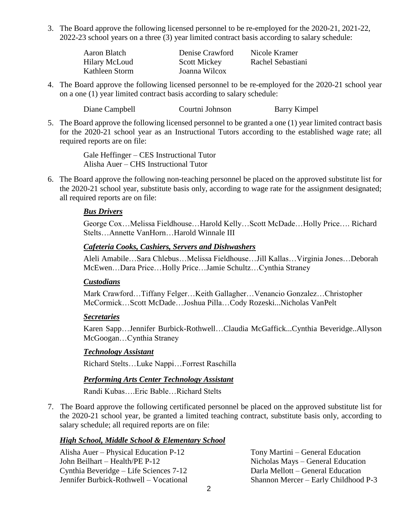3. The Board approve the following licensed personnel to be re-employed for the 2020-21, 2021-22, 2022-23 school years on a three (3) year limited contract basis according to salary schedule:

| Aaron Blatch         | Denise Crawford     | Nicole Kramer     |
|----------------------|---------------------|-------------------|
| <b>Hilary McLoud</b> | <b>Scott Mickey</b> | Rachel Sebastiani |
| Kathleen Storm       | Joanna Wilcox       |                   |

4. The Board approve the following licensed personnel to be re-employed for the 2020-21 school year on a one (1) year limited contract basis according to salary schedule:

Diane Campbell Courtni Johnson Barry Kimpel

5. The Board approve the following licensed personnel to be granted a one (1) year limited contract basis for the 2020-21 school year as an Instructional Tutors according to the established wage rate; all required reports are on file:

> Gale Heffinger – CES Instructional Tutor Alisha Auer – CHS Instructional Tutor

 6. The Board approve the following non-teaching personnel be placed on the approved substitute list for the 2020-21 school year, substitute basis only, according to wage rate for the assignment designated; all required reports are on file:

### *Bus Drivers*

George Cox…Melissa Fieldhouse…Harold Kelly…Scott McDade…Holly Price…. Richard Stelts…Annette VanHorn…Harold Winnale III

### *Cafeteria Cooks, Cashiers, Servers and Dishwashers*

Aleli Amabile…Sara Chlebus…Melissa Fieldhouse…Jill Kallas…Virginia Jones…Deborah McEwen…Dara Price…Holly Price…Jamie Schultz…Cynthia Straney

#### *Custodians*

Mark Crawford…Tiffany Felger…Keith Gallagher…Venancio Gonzalez…Christopher McCormick…Scott McDade…Joshua Pilla…Cody Rozeski...Nicholas VanPelt

#### *Secretaries*

Karen Sapp…Jennifer Burbick-Rothwell…Claudia McGaffick...Cynthia Beveridge..Allyson McGoogan…Cynthia Straney

#### *Technology Assistant*

Richard Stelts…Luke Nappi…Forrest Raschilla

# *Performing Arts Center Technology Assistant*

Randi Kubas….Eric Bable…Richard Stelts

 7. The Board approve the following certificated personnel be placed on the approved substitute list for the 2020-21 school year, be granted a limited teaching contract, substitute basis only, according to salary schedule; all required reports are on file:

# *High School, Middle School & Elementary School*

Alisha Auer – Physical Education P-12 Tony Martini – General Education John Beilhart – Health/PE P-12 Nicholas Mays – General Education Cynthia Beveridge – Life Sciences 7-12 Darla Mellott – General Education Jennifer Burbick-Rothwell – Vocational Shannon Mercer – Early Childhood P-3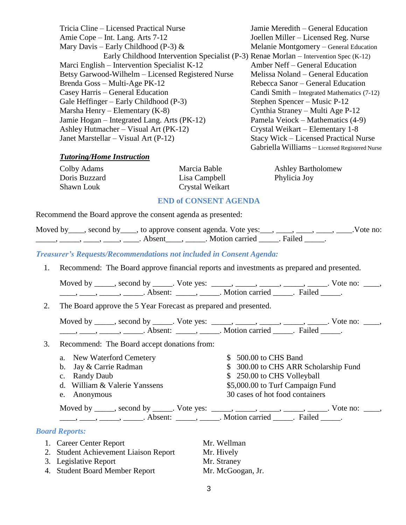Tricia Cline – Licensed Practical Nurse Jamie Meredith – General Education Amie Cope – Int. Lang. Arts 7-12 Joellen Miller – Licensed Reg. Nurse Mary Davis – Early Childhood (P-3)  $\&$  Melanie Montgomery – General Education Early Childhood Intervention Specialist (P-3) Renae Morlan – Intervention Spec (K-12) Marci English – Intervention Specialist K-12 Amber Neff – General Education Betsy Garwood-Wilhelm – Licensed Registered Nurse Melissa Noland – General Education Brenda Goss – Multi-Age PK-12 Rebecca Sanor – General Education Casey Harris – General Education Candi Smith – Integrated Mathematics (7-12) Gale Heffinger – Early Childhood (P-3) Stephen Spencer – Music P-12 Marsha Henry – Elementary (K-8) Cynthia Straney – Multi Age P-12 Jamie Hogan – Integrated Lang. Arts (PK-12) Pamela Veiock – Mathematics (4-9) Ashley Hutmacher – Visual Art (PK-12) Crystal Weikart – Elementary 1-8 Janet Marstellar – Visual Art (P-12) Stacy Wick – Licensed Practical Nurse

Gabriella Williams – Licensed Registered Nurse

### *Tutoring/Home Instruction*

| Colby Adams   | Marcia Bable    | <b>Ashley Bartholomew</b> |
|---------------|-----------------|---------------------------|
| Doris Buzzard | Lisa Campbell   | Phylicia Joy              |
| Shawn Louk    | Crystal Weikart |                           |

#### **END of CONSENT AGENDA**

Recommend the Board approve the consent agenda as presented:

|  |        | Moved by ____, second by ____, to approve consent agenda. Vote yes: ___, ____, ____, ____, _ |  | .Vote no: |
|--|--------|----------------------------------------------------------------------------------------------|--|-----------|
|  | Absent | . Motion carried . Failed                                                                    |  |           |

*Treasurer's Requests/Recommendations not included in Consent Agenda:*

| Recommend: The Board approve financial reports and investments as prepared and presented. |
|-------------------------------------------------------------------------------------------|
|-------------------------------------------------------------------------------------------|

| Moved by | second by           | Vote yes: |                       |        | Vote no: |  |
|----------|---------------------|-----------|-----------------------|--------|----------|--|
|          | Absent <sup>.</sup> |           | <b>Motion carried</b> | Failed |          |  |

2. The Board approve the 5 Year Forecast as prepared and presented.

| Moved by | second by | Vote yes: |                       |        | vote no: |  |
|----------|-----------|-----------|-----------------------|--------|----------|--|
|          | Absent    |           | <b>Motion carried</b> | Eailed |          |  |

- 3. Recommend: The Board accept donations from:
	- a. New Waterford Cemetery  $$500.00$  to CHS Band
	- b. Jay & Carrie Radman  $\qquad$  \$ 300.00 to CHS ARR Scholarship Fund
	- c. Randy Daub  $$ 250.00$  to CHS Volleyball
	- d. William & Valerie Yanssens \$5,000.00 to Turf Campaign Fund
	-

e. Anonymous 30 cases of hot food containers Moved by \_\_\_\_\_, second by \_\_\_\_\_. Vote yes: \_\_\_\_\_, \_\_\_\_\_, \_\_\_\_\_, \_\_\_\_\_, \_\_\_\_. Vote no: \_\_\_\_, \_\_\_\_\_, \_\_\_\_\_, \_\_\_\_\_\_\_. Absent: \_\_\_\_\_\_, \_\_\_\_\_\_. Motion carried \_\_\_\_\_\_. Failed \_\_\_\_\_.

# *Board Reports:*

- 1. Career Center Report Mr. Wellman
- 2. Student Achievement Liaison Report Mr. Hively
- 3. Legislative Report Mr. Straney
- 4. Student Board Member Report Mr. McGoogan, Jr.
- 
- 
-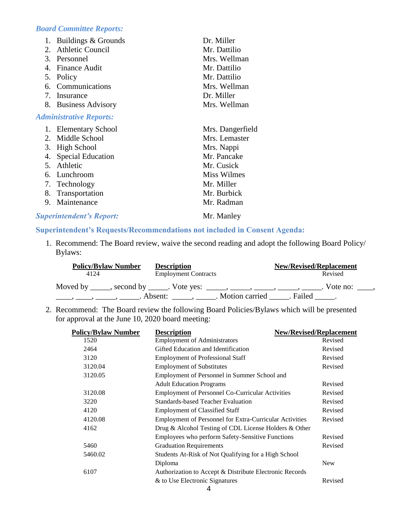# *Board Committee Reports:*

| 1.                   | Buildings & Grounds            | Dr. Miller       |
|----------------------|--------------------------------|------------------|
| 2.                   | <b>Athletic Council</b>        | Mr. Dattilio     |
|                      | 3. Personnel                   | Mrs. Wellman     |
| $\mathbf{4}_{\cdot}$ | <b>Finance Audit</b>           | Mr. Dattilio     |
| 5.                   | Policy                         | Mr. Dattilio     |
| 6.                   | Communications                 | Mrs. Wellman     |
|                      | 7. Insurance                   | Dr. Miller       |
|                      | 8. Business Advisory           | Mrs. Wellman     |
|                      | <b>Administrative Reports:</b> |                  |
|                      | 1. Elementary School           | Mrs. Dangerfield |
|                      |                                |                  |
| $2_{\cdot}$          | Middle School                  | Mrs. Lemaster    |
|                      | 3. High School                 | Mrs. Nappi       |
| 4.                   | <b>Special Education</b>       | Mr. Pancake      |
| $5_{-}$              | Athletic                       | Mr. Cusick       |
|                      | 6. Lunchroom                   | Miss Wilmes      |
|                      | 7. Technology                  | Mr. Miller       |
|                      | 8. Transportation              | Mr. Burbick      |
| 9.                   | Maintenance                    | Mr. Radman       |

### **Superintendent's Report:** Mr. Manley

## **Superintendent's Requests/Recommendations not included in Consent Agenda:**

 1. Recommend: The Board review, waive the second reading and adopt the following Board Policy/ Bylaws:

| <b>Policy/Bylaw Number</b>                                                           | <b>Description</b>          | <b>New/Revised/Replacement</b> |  |
|--------------------------------------------------------------------------------------|-----------------------------|--------------------------------|--|
| 4124                                                                                 | <b>Employment Contracts</b> | Revised                        |  |
| Moved by _____, second by _____. Vote yes: _____, _____, _____, _____, _____, _____, |                             | . Vote no: $\_\_\_\$           |  |
|                                                                                      | Absent:                     | . Motion carried<br>. Failed   |  |

 2. Recommend: The Board review the following Board Policies/Bylaws which will be presented for approval at the June 10, 2020 board meeting:

| <b>Policy/Bylaw Number</b> | <b>Description</b>                                      | <b>New/Revised/Replacement</b> |
|----------------------------|---------------------------------------------------------|--------------------------------|
| 1520                       | <b>Employment of Administrators</b>                     | Revised                        |
| 2464                       | Gifted Education and Identification                     | Revised                        |
| 3120                       | <b>Employment of Professional Staff</b>                 | Revised                        |
| 3120.04                    | <b>Employment of Substitutes</b>                        | Revised                        |
| 3120.05                    | Employment of Personnel in Summer School and            |                                |
|                            | <b>Adult Education Programs</b>                         | Revised                        |
| 3120.08                    | <b>Employment of Personnel Co-Curricular Activities</b> | Revised                        |
| 3220                       | Standards-based Teacher Evaluation                      | Revised                        |
| 4120                       | <b>Employment of Classified Staff</b>                   | Revised                        |
| 4120.08                    | Employment of Personnel for Extra-Curricular Activities | Revised                        |
| 4162                       | Drug & Alcohol Testing of CDL License Holders & Other   |                                |
|                            | Employees who perform Safety-Sensitive Functions        | Revised                        |
| 5460                       | <b>Graduation Requirements</b>                          | Revised                        |
| 5460.02                    | Students At-Risk of Not Qualifying for a High School    |                                |
|                            | Diploma                                                 | <b>New</b>                     |
| 6107                       | Authorization to Accept & Distribute Electronic Records |                                |
|                            | & to Use Electronic Signatures                          | Revised                        |
|                            |                                                         |                                |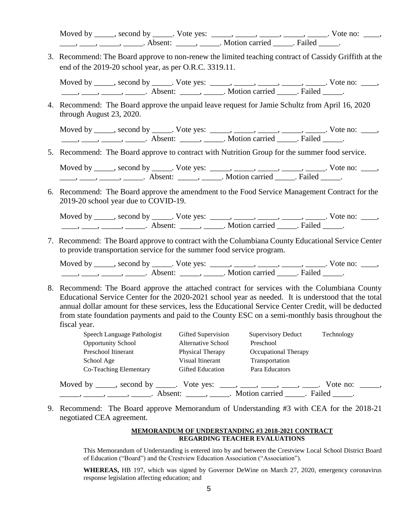Moved by \_\_\_\_\_, second by \_\_\_\_\_. Vote yes: \_\_\_\_\_, \_\_\_\_\_, \_\_\_\_\_, \_\_\_\_\_, \_\_\_\_. Vote no: \_\_\_\_, \_\_\_\_\_, \_\_\_\_\_, \_\_\_\_\_\_\_. Absent: \_\_\_\_\_\_, \_\_\_\_\_\_. Motion carried \_\_\_\_\_\_. Failed \_\_\_\_\_.

3. Recommend: The Board approve to non-renew the limited teaching contract of Cassidy Griffith at the end of the 2019-20 school year, as per O.R.C. 3319.11.

Moved by \_\_\_\_\_, second by \_\_\_\_\_. Vote yes: \_\_\_\_\_, \_\_\_\_\_, \_\_\_\_\_, \_\_\_\_\_, \_\_\_\_\_. Vote no: \_\_\_\_,  $\frac{1}{\sqrt{1-\frac{1}{2}}}, \frac{1}{\sqrt{1-\frac{1}{2}}}, \frac{1}{\sqrt{1-\frac{1}{2}}}, \frac{1}{\sqrt{1-\frac{1}{2}}}, \frac{1}{\sqrt{1-\frac{1}{2}}}, \frac{1}{\sqrt{1-\frac{1}{2}}}, \frac{1}{\sqrt{1-\frac{1}{2}}}, \frac{1}{\sqrt{1-\frac{1}{2}}}, \frac{1}{\sqrt{1-\frac{1}{2}}}, \frac{1}{\sqrt{1-\frac{1}{2}}}, \frac{1}{\sqrt{1-\frac{1}{2}}}, \frac{1}{\sqrt{1-\frac{1}{2}}}, \frac{1}{\sqrt{1-\frac{1}{2}}$ 

 4. Recommend: The Board approve the unpaid leave request for Jamie Schultz from April 16, 2020 through August 23, 2020.

Moved by \_\_\_\_\_, second by \_\_\_\_\_. Vote yes: \_\_\_\_\_, \_\_\_\_\_, \_\_\_\_\_, \_\_\_\_\_, \_\_\_\_\_. Vote no: \_\_\_\_, \_\_\_\_\_, \_\_\_\_\_, \_\_\_\_\_\_\_. Absent: \_\_\_\_\_\_, \_\_\_\_\_\_. Motion carried \_\_\_\_. Failed \_\_\_\_.

5. Recommend: The Board approve to contract with Nutrition Group for the summer food service.

Moved by \_\_\_\_\_, second by \_\_\_\_\_. Vote yes:  $\_\_\_\_\_\_\_\_\_\_\_\_\_\_\_\_\_\_\_\_$  \_\_\_\_, \_\_\_\_, \_\_\_\_. Vote no:  $\_\_\_\_\_\$  $\underbrace{\hspace{1cm}}$ ,  $\underbrace{\hspace{1cm}}$ ,  $\underbrace{\hspace{1cm}}$ ,  $\underbrace{\hspace{1cm}}$  Absent:  $\underbrace{\hspace{1cm}}$ ,  $\underbrace{\hspace{1cm}}$ . Motion carried  $\underbrace{\hspace{1cm}}$ . Failed  $\underbrace{\hspace{1cm}}$ .

 6. Recommend: The Board approve the amendment to the Food Service Management Contract for the 2019-20 school year due to COVID-19.

Moved by \_\_\_\_\_, second by \_\_\_\_\_. Vote yes: \_\_\_\_\_, \_\_\_\_\_, \_\_\_\_\_, \_\_\_\_\_, \_\_\_\_. Vote no: \_\_\_\_, \_\_\_\_, \_\_\_\_, \_\_\_\_\_, \_\_\_\_\_\_. Absent: \_\_\_\_\_, \_\_\_\_\_. Motion carried \_\_\_\_\_. Failed \_\_\_\_\_.

7. Recommend: The Board approve to contract with the Columbiana County Educational Service Center to provide transportation service for the summer food service program.

Moved by \_\_\_\_\_, second by \_\_\_\_\_. Vote yes: \_\_\_\_\_, \_\_\_\_\_, \_\_\_\_\_, \_\_\_\_\_, \_\_\_\_\_. Vote no: \_\_\_\_,  $\frac{1}{\sqrt{2\pi}}$ ,  $\frac{1}{\sqrt{2\pi}}$ ,  $\frac{1}{\sqrt{2\pi}}$ ,  $\frac{1}{\sqrt{2\pi}}$ ,  $\frac{1}{\sqrt{2\pi}}$ ,  $\frac{1}{\sqrt{2\pi}}$ ,  $\frac{1}{\sqrt{2\pi}}$ ,  $\frac{1}{\sqrt{2\pi}}$ ,  $\frac{1}{\sqrt{2\pi}}$ ,  $\frac{1}{\sqrt{2\pi}}$ 

8. Recommend: The Board approve the attached contract for services with the Columbiana County Educational Service Center for the 2020-2021 school year as needed. It is understood that the total annual dollar amount for these services, less the Educational Service Center Credit, will be deducted from state foundation payments and paid to the County ESC on a semi-monthly basis throughout the fiscal year.

| Speech Language Pathologist      | Gifted Supervision      | <b>Supervisory Deduct</b>                        | Technology |
|----------------------------------|-------------------------|--------------------------------------------------|------------|
| <b>Opportunity School</b>        | Alternative School      | Preschool                                        |            |
| Preschool Itinerant              | Physical Therapy        | Occupational Therapy                             |            |
| School Age                       | Visual Itinerant        | Transportation                                   |            |
| Co-Teaching Elementary           | <b>Gifted Education</b> | Para Educators                                   |            |
| Moved by _____, second by _____. | Vote yes:               | $\sim$ $\sim$ $\sim$ $\sim$ $\sim$ $\sim$ $\sim$ | Vote no:   |
| Absent:                          |                         | . Motion carried<br>Failed                       |            |

9. Recommend: The Board approve Memorandum of Understanding #3 with CEA for the 2018-21 negotiated CEA agreement.

#### **MEMORANDUM OF UNDERSTANDING #3 2018-2021 CONTRACT REGARDING TEACHER EVALUATIONS**

This Memorandum of Understanding is entered into by and between the Crestview Local School District Board of Education ("Board") and the Crestview Education Association ("Association").

**WHEREAS,** HB 197, which was signed by Governor DeWine on March 27, 2020, emergency coronavirus response legislation affecting education; and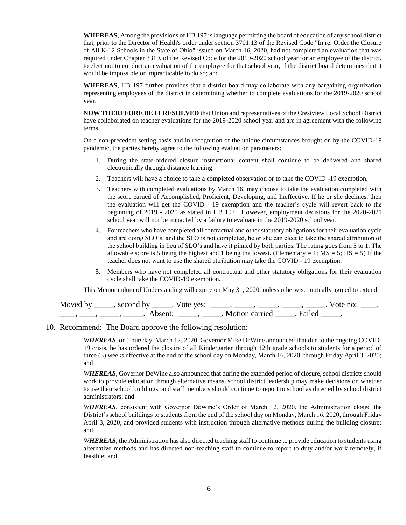**WHEREAS**, Among the provisions of HB 197 is language permitting the board of education of any school district that, prior to the Director of Health's order under section 3701.13 of the Revised Code "In re: Order the Closure of All K-12 Schools in the State of Ohio" issued on March 16, 2020, had not completed an evaluation that was required under Chapter 3319. of the Revised Code for the 2019-2020 school year for an employee of the district, to elect not to conduct an evaluation of the employee for that school year, if the district board determines that it would be impossible or impracticable to do so; and

**WHEREAS**, HB 197 further provides that a district board may collaborate with any bargaining organization representing employees of the district in determining whether to complete evaluations for the 2019-2020 school year.

**NOW THEREFORE BE IT RESOLVED** that Union and representatives of the Crestview Local School District have collaborated on teacher evaluations for the 2019-2020 school year and are in agreement with the following terms.

On a non-precedent setting basis and in recognition of the unique circumstances brought on by the COVID-19 pandemic, the parties hereby agree to the following evaluation parameters:

- 1. During the state-ordered closure instructional content shall continue to be delivered and shared electronically through distance learning.
- 2. Teachers will have a choice to take a completed observation or to take the COVID -19 exemption.
- 3. Teachers with completed evaluations by March 16, may choose to take the evaluation completed with the score earned of Accomplished, Proficient, Developing, and Ineffective. If he or she declines, then the evaluation will get the COVID - 19 exemption and the teacher's cycle will revert back to the beginning of 2019 - 2020 as stated in HB 197. However, employment decisions for the 2020-2021 school year will not be impacted by a failure to evaluate in the 2019-2020 school year.
- 4. For teachers who have completed all contractual and other statutory obligations for their evaluation cycle and are doing SLO's, and the SLO is not completed, he or she can elect to take the shared attribution of the school building in lieu of SLO's and have it pinned by both parties. The rating goes from 5 to 1. The allowable score is 5 being the highest and 1 being the lowest. (Elementary = 1;  $MS = 5$ ;  $HS = 5$ ) If the teacher does not want to use the shared attribution may take the COVID - 19 exemption.
- 5. Members who have not completed all contractual and other statutory obligations for their evaluation cycle shall take the COVID-19 exemption.

This Memorandum of Understanding will expire on May 31, 2020, unless otherwise mutually agreed to extend.

| Moved by | second by           | Vote yes: |                |        | Vote no: |  |
|----------|---------------------|-----------|----------------|--------|----------|--|
|          | Absent <sup>.</sup> |           | Motion carried | Failed |          |  |

10. Recommend: The Board approve the following resolution:

*WHEREAS*, on Thursday, March 12, 2020, Governor Mike DeWine announced that due to the ongoing COVID-19 crisis, he has ordered the closure of all Kindergarten through 12th grade schools to students for a period of three (3) weeks effective at the end of the school day on Monday, March 16, 2020, through Friday April 3, 2020; and

*WHEREAS*, Governor DeWine also announced that during the extended period of closure, school districts should work to provide education through alternative means, school district leadership may make decisions on whether to use their school buildings, and staff members should continue to report to school as directed by school district administrators; and

*WHEREAS*, consistent with Governor DeWine's Order of March 12, 2020, the Administration closed the District's school buildings to students from the end of the school day on Monday, March 16, 2020, through Friday April 3, 2020, and provided students with instruction through alternative methods during the building closure; and

*WHEREAS*, the Administration has also directed teaching staff to continue to provide education to students using alternative methods and has directed non-teaching staff to continue to report to duty and/or work remotely, if feasible; and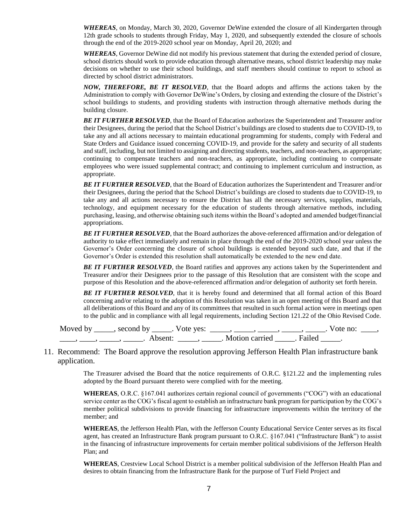*WHEREAS*, on Monday, March 30, 2020, Governor DeWine extended the closure of all Kindergarten through 12th grade schools to students through Friday, May 1, 2020, and subsequently extended the closure of schools through the end of the 2019-2020 school year on Monday, April 20, 2020; and

*WHEREAS*, Governor DeWine did not modify his previous statement that during the extended period of closure, school districts should work to provide education through alternative means, school district leadership may make decisions on whether to use their school buildings, and staff members should continue to report to school as directed by school district administrators.

*NOW, THEREFORE, BE IT RESOLVED*, that the Board adopts and affirms the actions taken by the Administration to comply with Governor DeWine's Orders, by closing and extending the closure of the District's school buildings to students, and providing students with instruction through alternative methods during the building closure.

*BE IT FURTHER RESOLVED*, that the Board of Education authorizes the Superintendent and Treasurer and/or their Designees, during the period that the School District's buildings are closed to students due to COVID-19, to take any and all actions necessary to maintain educational programming for students, comply with Federal and State Orders and Guidance issued concerning COVID-19, and provide for the safety and security of all students and staff, including, but not limited to assigning and directing students, teachers, and non-teachers, as appropriate; continuing to compensate teachers and non-teachers, as appropriate, including continuing to compensate employees who were issued supplemental contract; and continuing to implement curriculum and instruction, as appropriate.

**BE IT FURTHER RESOLVED**, that the Board of Education authorizes the Superintendent and Treasurer and/or their Designees, during the period that the School District's buildings are closed to students due to COVID-19, to take any and all actions necessary to ensure the District has all the necessary services, supplies, materials, technology, and equipment necessary for the education of students through alternative methods, including purchasing, leasing, and otherwise obtaining such items within the Board's adopted and amended budget/financial appropriations.

**BE IT FURTHER RESOLVED**, that the Board authorizes the above-referenced affirmation and/or delegation of authority to take effect immediately and remain in place through the end of the 2019-2020 school year unless the Governor's Order concerning the closure of school buildings is extended beyond such date, and that if the Governor's Order is extended this resolution shall automatically be extended to the new end date.

**BE IT FURTHER RESOLVED**, the Board ratifies and approves any actions taken by the Superintendent and Treasurer and/or their Designees prior to the passage of this Resolution that are consistent with the scope and purpose of this Resolution and the above-referenced affirmation and/or delegation of authority set forth herein.

**BE IT FURTHER RESOLVED**, that it is hereby found and determined that all formal action of this Board concerning and/or relating to the adoption of this Resolution was taken in an open meeting of this Board and that all deliberations of this Board and any of its committees that resulted in such formal action were in meetings open to the public and in compliance with all legal requirements, including Section 121.22 of the Ohio Revised Code.

Moved by \_\_\_\_\_, second by \_\_\_\_\_. Vote yes: \_\_\_\_\_, \_\_\_\_\_, \_\_\_\_\_, \_\_\_\_\_, \_\_\_\_. Vote no: \_\_\_\_, \_\_\_\_\_, \_\_\_\_\_, \_\_\_\_\_\_\_. Absent: \_\_\_\_\_\_, \_\_\_\_\_\_. Motion carried \_\_\_\_\_\_. Failed \_\_\_\_\_.

#### 11. Recommend: The Board approve the resolution approving Jefferson Health Plan infrastructure bank application.

The Treasurer advised the Board that the notice requirements of O.R.C. §121.22 and the implementing rules adopted by the Board pursuant thereto were complied with for the meeting.

**WHEREAS**, O.R.C. §167.041 authorizes certain regional council of governments ("COG") with an educational service center as the COG's fiscal agent to establish an infrastructure bank program for participation by the COG's member political subdivisions to provide financing for infrastructure improvements within the territory of the member; and

**WHEREAS**, the Jefferson Health Plan, with the Jefferson County Educational Service Center serves as its fiscal agent, has created an Infrastructure Bank program pursuant to O.R.C. §167.041 ("Infrastructure Bank") to assist in the financing of infrastructure improvements for certain member political subdivisions of the Jefferson Health Plan; and

**WHEREAS**, Crestview Local School District is a member political subdivision of the Jefferson Health Plan and desires to obtain financing from the Infrastructure Bank for the purpose of Turf Field Project and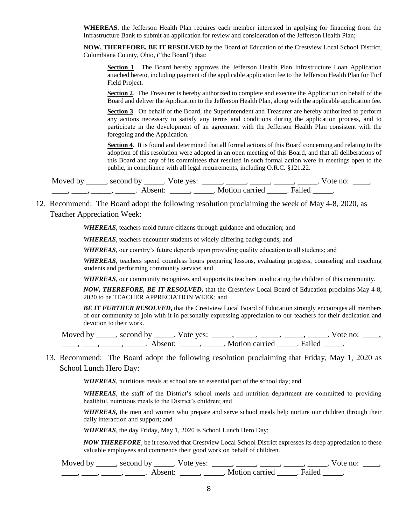**WHEREAS**, the Jefferson Health Plan requires each member interested in applying for financing from the Infrastructure Bank to submit an application for review and consideration of the Jefferson Health Plan;

**NOW, THEREFORE, BE IT RESOLVED** by the Board of Education of the Crestview Local School District, Columbiana County, Ohio, ("the Board") that:

Section 1. The Board hereby approves the Jefferson Health Plan Infrastructure Loan Application attached hereto, including payment of the applicable application fee to the Jefferson Health Plan for Turf Field Project.

**Section 2.** The Treasurer is hereby authorized to complete and execute the Application on behalf of the Board and deliver the Application to the Jefferson Health Plan, along with the applicable application fee.

**Section 3**. On behalf of the Board, the Superintendent and Treasurer are hereby authorized to perform any actions necessary to satisfy any terms and conditions during the application process, and to participate in the development of an agreement with the Jefferson Health Plan consistent with the foregoing and the Application.

**Section 4**. It is found and determined that all formal actions of this Board concerning and relating to the adoption of this resolution were adopted in an open meeting of this Board, and that all deliberations of this Board and any of its committees that resulted in such formal action were in meetings open to the public, in compliance with all legal requirements, including O.R.C. §121.22.

Moved by \_\_\_\_\_, second by \_\_\_\_\_. Vote yes: \_\_\_\_\_, \_\_\_\_\_, \_\_\_\_\_, \_\_\_\_\_, \_\_\_\_. Vote no: \_\_\_\_, \_\_\_\_, \_\_\_\_, \_\_\_\_\_, \_\_\_\_\_. Absent: \_\_\_\_\_, \_\_\_\_\_. Motion carried \_\_\_\_\_. Failed \_\_\_\_\_.

12. Recommend: The Board adopt the following resolution proclaiming the week of May 4-8, 2020, as Teacher Appreciation Week:

*WHEREAS*, teachers mold future citizens through guidance and education; and

*WHEREAS*, teachers encounter students of widely differing backgrounds; and

*WHEREAS,* our country's future depends upon providing quality education to all students; and

*WHEREAS,* teachers spend countless hours preparing lessons, evaluating progress, counseling and coaching students and performing community service; and

*WHEREAS*, our community recognizes and supports its teachers in educating the children of this community.

*NOW, THEREFORE, BE IT RESOLVED***,** that the Crestview Local Board of Education proclaims May 4-8, 2020 to be TEACHER APPRECIATION WEEK; and

*BE IT FURTHER RESOLVED***,** that the Crestview Local Board of Education strongly encourages all members of our community to join with it in personally expressing appreciation to our teachers for their dedication and devotion to their work.

Moved by \_\_\_\_\_, second by \_\_\_\_\_. Vote yes: \_\_\_\_\_, \_\_\_\_\_, \_\_\_\_\_, \_\_\_\_\_, \_\_\_\_. Vote no: \_\_\_\_, \_\_\_\_\_, \_\_\_\_\_, \_\_\_\_\_\_\_. Absent: \_\_\_\_\_\_, \_\_\_\_\_\_. Motion carried \_\_\_\_\_\_. Failed \_\_\_\_\_.

13. Recommend: The Board adopt the following resolution proclaiming that Friday, May 1, 2020 as School Lunch Hero Day:

*WHEREAS*, nutritious meals at school are an essential part of the school day; and

*WHEREAS,* the staff of the District's school meals and nutrition department are committed to providing healthful, nutritious meals to the District's children; and

*WHEREAS***,** the men and women who prepare and serve school meals help nurture our children through their daily interaction and support; and

*WHEREAS*, the day Friday, May 1, 2020 is School Lunch Hero Day;

*NOW THEREFORE,* be it resolved that Crestview Local School District expresses its deep appreciation to these valuable employees and commends their good work on behalf of children.

Moved by \_\_\_\_\_, second by \_\_\_\_\_. Vote yes: \_\_\_\_\_, \_\_\_\_\_, \_\_\_\_\_, \_\_\_\_\_, \_\_\_\_. Vote no: \_\_\_\_, \_\_\_\_, \_\_\_\_, \_\_\_\_\_, \_\_\_\_\_\_. Absent: \_\_\_\_\_, \_\_\_\_\_. Motion carried \_\_\_\_\_. Failed \_\_\_\_\_.